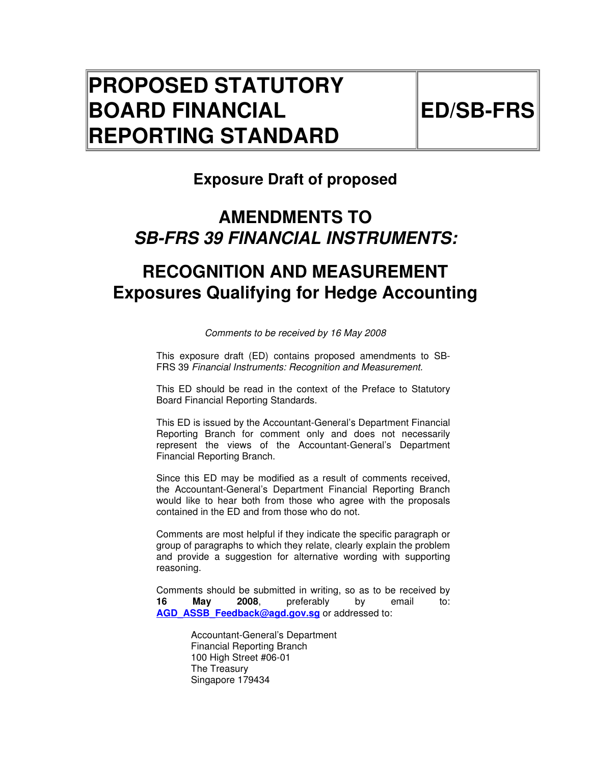# **PROPOSED STATUTORY BOARD FINANCIAL REPORTING STANDARD**

## **Exposure Draft of proposed**

# **AMENDMENTS TO SB-FRS 39 FINANCIAL INSTRUMENTS:**

# **RECOGNITION AND MEASUREMENT Exposures Qualifying for Hedge Accounting**

Comments to be received by 16 May 2008

This exposure draft (ED) contains proposed amendments to SB-FRS 39 Financial Instruments: Recognition and Measurement.

This ED should be read in the context of the Preface to Statutory Board Financial Reporting Standards.

This ED is issued by the Accountant-General's Department Financial Reporting Branch for comment only and does not necessarily represent the views of the Accountant-General's Department Financial Reporting Branch.

Since this ED may be modified as a result of comments received, the Accountant-General's Department Financial Reporting Branch would like to hear both from those who agree with the proposals contained in the ED and from those who do not.

Comments are most helpful if they indicate the specific paragraph or group of paragraphs to which they relate, clearly explain the problem and provide a suggestion for alternative wording with supporting reasoning.

Comments should be submitted in writing, so as to be received by<br> **16** May 2008, preferably by email to: **16 May 2008**, preferably by email to: AGD ASSB Feedback@agd.gov.sg or addressed to:

> Accountant-General's Department Financial Reporting Branch 100 High Street #06-01 The Treasury Singapore 179434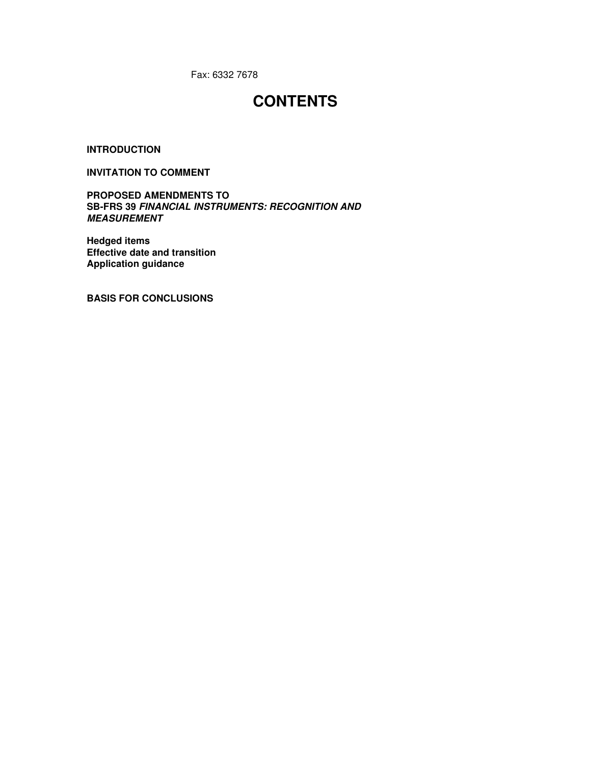Fax: 6332 7678

## **CONTENTS**

**INTRODUCTION** 

#### **INVITATION TO COMMENT**

**PROPOSED AMENDMENTS TO SB-FRS 39 FINANCIAL INSTRUMENTS: RECOGNITION AND MEASUREMENT** 

**Hedged items Effective date and transition Application guidance** 

**BASIS FOR CONCLUSIONS**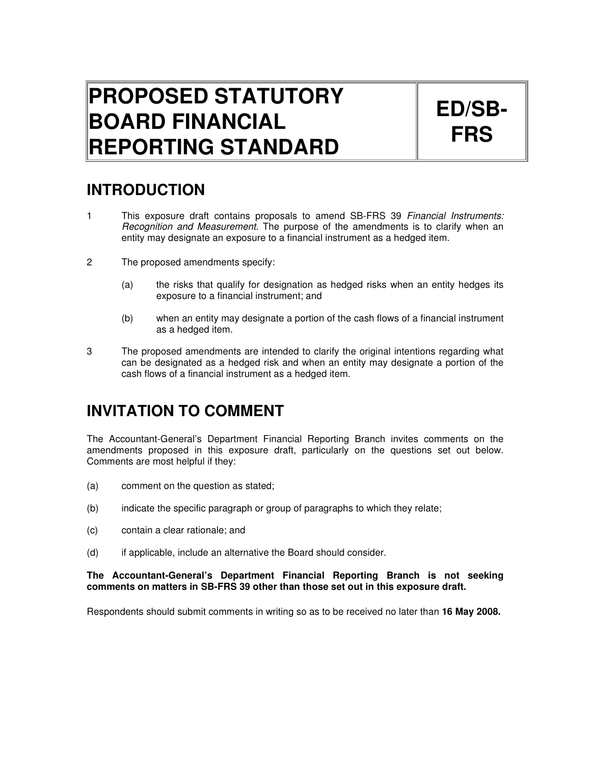# **PROPOSED STATUTORY BOARD FINANCIAL REPORTING STANDARD**

# **ED/SB-FRS**

## **INTRODUCTION**

- 1 This exposure draft contains proposals to amend SB-FRS 39 Financial Instruments: Recognition and Measurement. The purpose of the amendments is to clarify when an entity may designate an exposure to a financial instrument as a hedged item.
- 2 The proposed amendments specify:
	- (a) the risks that qualify for designation as hedged risks when an entity hedges its exposure to a financial instrument; and
	- (b) when an entity may designate a portion of the cash flows of a financial instrument as a hedged item.
- 3 The proposed amendments are intended to clarify the original intentions regarding what can be designated as a hedged risk and when an entity may designate a portion of the cash flows of a financial instrument as a hedged item.

## **INVITATION TO COMMENT**

The Accountant-General's Department Financial Reporting Branch invites comments on the amendments proposed in this exposure draft, particularly on the questions set out below. Comments are most helpful if they:

- (a) comment on the question as stated;
- (b) indicate the specific paragraph or group of paragraphs to which they relate;
- (c) contain a clear rationale; and
- (d) if applicable, include an alternative the Board should consider.

#### **The Accountant-General's Department Financial Reporting Branch is not seeking comments on matters in SB-FRS 39 other than those set out in this exposure draft.**

Respondents should submit comments in writing so as to be received no later than **16 May 2008.**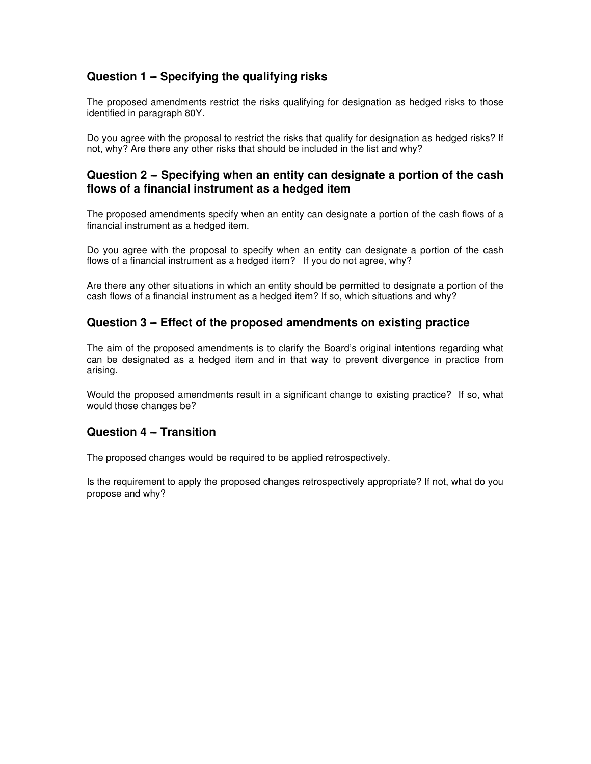## **Question 1 - Specifying the qualifying risks**

The proposed amendments restrict the risks qualifying for designation as hedged risks to those identified in paragraph 80Y.

Do you agree with the proposal to restrict the risks that qualify for designation as hedged risks? If not, why? Are there any other risks that should be included in the list and why?

## Question 2 – Specifying when an entity can designate a portion of the cash **flows of a financial instrument as a hedged item**

The proposed amendments specify when an entity can designate a portion of the cash flows of a financial instrument as a hedged item.

Do you agree with the proposal to specify when an entity can designate a portion of the cash flows of a financial instrument as a hedged item? If you do not agree, why?

Are there any other situations in which an entity should be permitted to designate a portion of the cash flows of a financial instrument as a hedged item? If so, which situations and why?

## **Question 3 – Effect of the proposed amendments on existing practice**

The aim of the proposed amendments is to clarify the Board's original intentions regarding what can be designated as a hedged item and in that way to prevent divergence in practice from arising.

Would the proposed amendments result in a significant change to existing practice? If so, what would those changes be?

### **Question 4 - Transition**

The proposed changes would be required to be applied retrospectively.

Is the requirement to apply the proposed changes retrospectively appropriate? If not, what do you propose and why?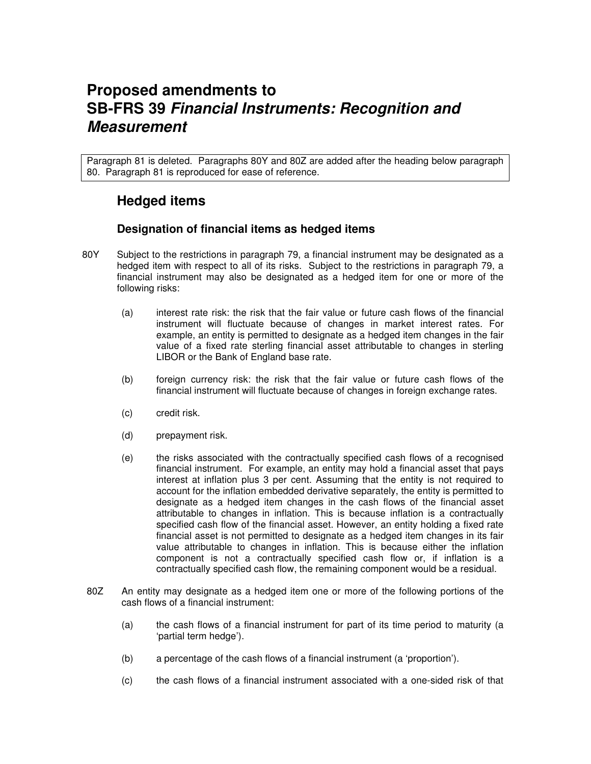## **Proposed amendments to SB-FRS 39 Financial Instruments: Recognition and Measurement**

Paragraph 81 is deleted. Paragraphs 80Y and 80Z are added after the heading below paragraph 80. Paragraph 81 is reproduced for ease of reference.

## **Hedged items**

## **Designation of financial items as hedged items**

- 80Y Subject to the restrictions in paragraph 79, a financial instrument may be designated as a hedged item with respect to all of its risks. Subject to the restrictions in paragraph 79, a financial instrument may also be designated as a hedged item for one or more of the following risks:
	- (a) interest rate risk: the risk that the fair value or future cash flows of the financial instrument will fluctuate because of changes in market interest rates. For example, an entity is permitted to designate as a hedged item changes in the fair value of a fixed rate sterling financial asset attributable to changes in sterling LIBOR or the Bank of England base rate.
	- (b) foreign currency risk: the risk that the fair value or future cash flows of the financial instrument will fluctuate because of changes in foreign exchange rates.
	- (c) credit risk.
	- (d) prepayment risk.
	- (e) the risks associated with the contractually specified cash flows of a recognised financial instrument. For example, an entity may hold a financial asset that pays interest at inflation plus 3 per cent. Assuming that the entity is not required to account for the inflation embedded derivative separately, the entity is permitted to designate as a hedged item changes in the cash flows of the financial asset attributable to changes in inflation. This is because inflation is a contractually specified cash flow of the financial asset. However, an entity holding a fixed rate financial asset is not permitted to designate as a hedged item changes in its fair value attributable to changes in inflation. This is because either the inflation component is not a contractually specified cash flow or, if inflation is a contractually specified cash flow, the remaining component would be a residual.
- 80Z An entity may designate as a hedged item one or more of the following portions of the cash flows of a financial instrument:
	- (a) the cash flows of a financial instrument for part of its time period to maturity (a 'partial term hedge').
	- (b) a percentage of the cash flows of a financial instrument (a 'proportion').
	- (c) the cash flows of a financial instrument associated with a one-sided risk of that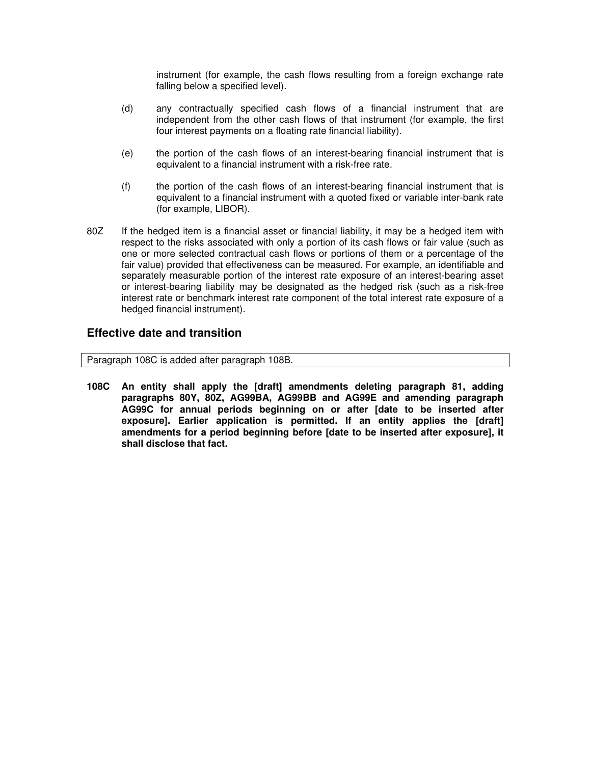instrument (for example, the cash flows resulting from a foreign exchange rate falling below a specified level).

- (d) any contractually specified cash flows of a financial instrument that are independent from the other cash flows of that instrument (for example, the first four interest payments on a floating rate financial liability).
- (e) the portion of the cash flows of an interest-bearing financial instrument that is equivalent to a financial instrument with a risk-free rate.
- (f) the portion of the cash flows of an interest-bearing financial instrument that is equivalent to a financial instrument with a quoted fixed or variable inter-bank rate (for example, LIBOR).
- 80Z If the hedged item is a financial asset or financial liability, it may be a hedged item with respect to the risks associated with only a portion of its cash flows or fair value (such as one or more selected contractual cash flows or portions of them or a percentage of the fair value) provided that effectiveness can be measured. For example, an identifiable and separately measurable portion of the interest rate exposure of an interest-bearing asset or interest-bearing liability may be designated as the hedged risk (such as a risk-free interest rate or benchmark interest rate component of the total interest rate exposure of a hedged financial instrument).

### **Effective date and transition**

Paragraph 108C is added after paragraph 108B.

**108C An entity shall apply the [draft] amendments deleting paragraph 81, adding paragraphs 80Y, 80Z, AG99BA, AG99BB and AG99E and amending paragraph AG99C for annual periods beginning on or after [date to be inserted after exposure]. Earlier application is permitted. If an entity applies the [draft] amendments for a period beginning before [date to be inserted after exposure], it shall disclose that fact.**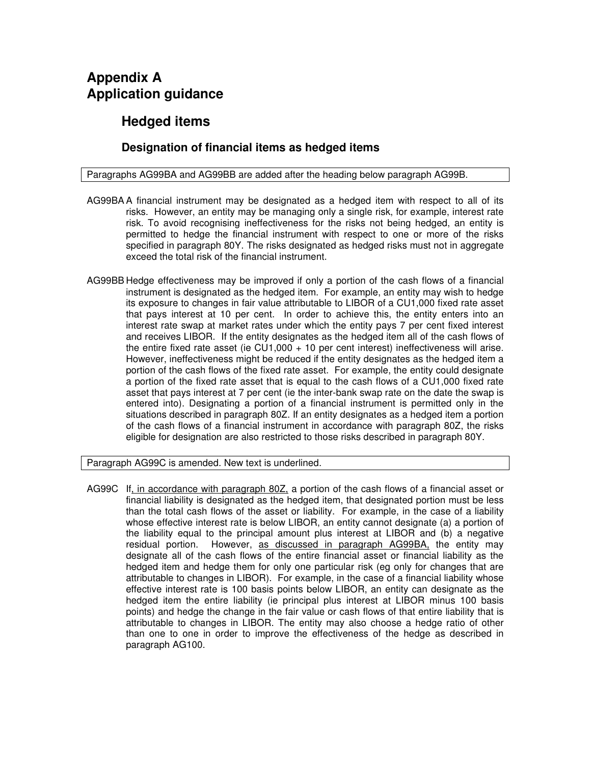## **Appendix A Application guidance**

## **Hedged items**

## **Designation of financial items as hedged items**

#### Paragraphs AG99BA and AG99BB are added after the heading below paragraph AG99B.

- AG99BA A financial instrument may be designated as a hedged item with respect to all of its risks. However, an entity may be managing only a single risk, for example, interest rate risk. To avoid recognising ineffectiveness for the risks not being hedged, an entity is permitted to hedge the financial instrument with respect to one or more of the risks specified in paragraph 80Y. The risks designated as hedged risks must not in aggregate exceed the total risk of the financial instrument.
- AG99BB Hedge effectiveness may be improved if only a portion of the cash flows of a financial instrument is designated as the hedged item. For example, an entity may wish to hedge its exposure to changes in fair value attributable to LIBOR of a CU1,000 fixed rate asset that pays interest at 10 per cent. In order to achieve this, the entity enters into an interest rate swap at market rates under which the entity pays 7 per cent fixed interest and receives LIBOR. If the entity designates as the hedged item all of the cash flows of the entire fixed rate asset (ie CU1,000 + 10 per cent interest) ineffectiveness will arise. However, ineffectiveness might be reduced if the entity designates as the hedged item a portion of the cash flows of the fixed rate asset. For example, the entity could designate a portion of the fixed rate asset that is equal to the cash flows of a CU1,000 fixed rate asset that pays interest at 7 per cent (ie the inter-bank swap rate on the date the swap is entered into). Designating a portion of a financial instrument is permitted only in the situations described in paragraph 80Z. If an entity designates as a hedged item a portion of the cash flows of a financial instrument in accordance with paragraph 80Z, the risks eligible for designation are also restricted to those risks described in paragraph 80Y.

#### Paragraph AG99C is amended. New text is underlined.

AG99C If, in accordance with paragraph 80Z, a portion of the cash flows of a financial asset or financial liability is designated as the hedged item, that designated portion must be less than the total cash flows of the asset or liability. For example, in the case of a liability whose effective interest rate is below LIBOR, an entity cannot designate (a) a portion of the liability equal to the principal amount plus interest at LIBOR and (b) a negative residual portion. However, as discussed in paragraph AG99BA, the entity may designate all of the cash flows of the entire financial asset or financial liability as the hedged item and hedge them for only one particular risk (eg only for changes that are attributable to changes in LIBOR). For example, in the case of a financial liability whose effective interest rate is 100 basis points below LIBOR, an entity can designate as the hedged item the entire liability (ie principal plus interest at LIBOR minus 100 basis points) and hedge the change in the fair value or cash flows of that entire liability that is attributable to changes in LIBOR. The entity may also choose a hedge ratio of other than one to one in order to improve the effectiveness of the hedge as described in paragraph AG100.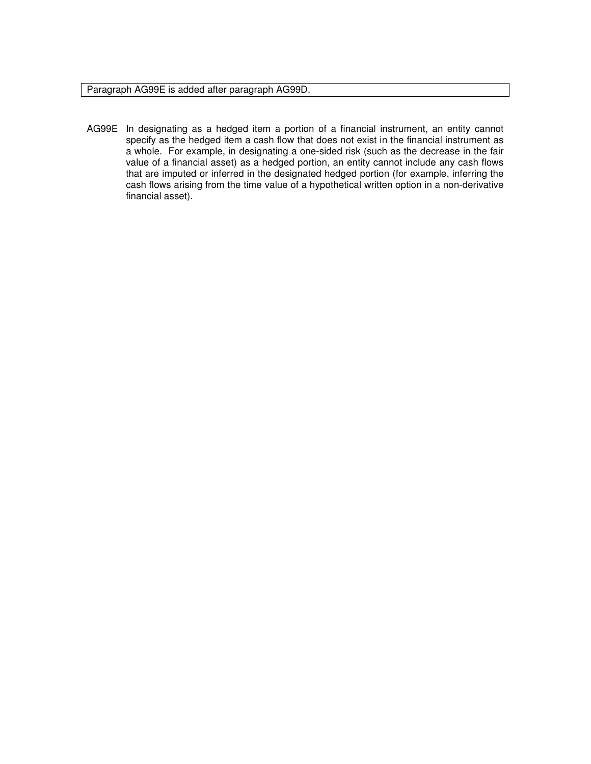Paragraph AG99E is added after paragraph AG99D.

AG99E In designating as a hedged item a portion of a financial instrument, an entity cannot specify as the hedged item a cash flow that does not exist in the financial instrument as a whole. For example, in designating a one-sided risk (such as the decrease in the fair value of a financial asset) as a hedged portion, an entity cannot include any cash flows that are imputed or inferred in the designated hedged portion (for example, inferring the cash flows arising from the time value of a hypothetical written option in a non-derivative financial asset).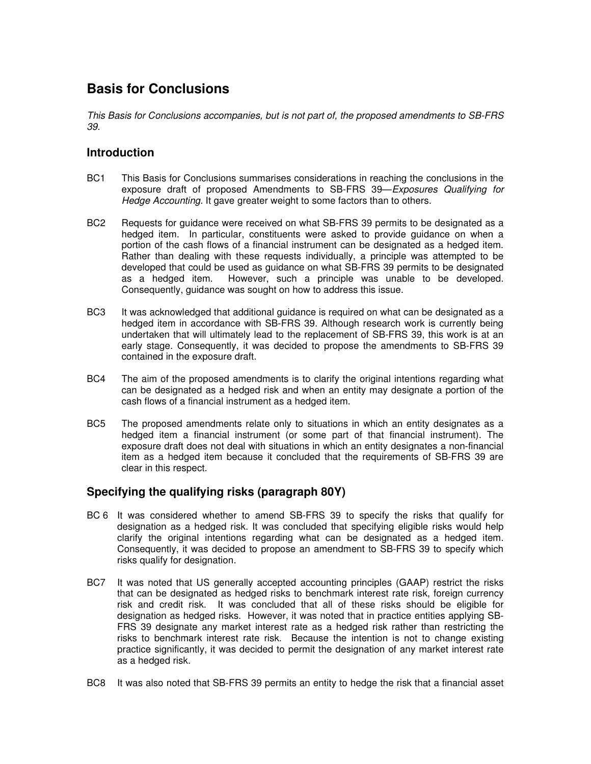## **Basis for Conclusions**

This Basis for Conclusions accompanies, but is not part of, the proposed amendments to SB-FRS 39.

## **Introduction**

- BC1 This Basis for Conclusions summarises considerations in reaching the conclusions in the exposure draft of proposed Amendments to SB-FRS 39—Exposures Qualifying for Hedge Accounting. It gave greater weight to some factors than to others.
- BC2 Requests for guidance were received on what SB-FRS 39 permits to be designated as a hedged item. In particular, constituents were asked to provide guidance on when a portion of the cash flows of a financial instrument can be designated as a hedged item. Rather than dealing with these requests individually, a principle was attempted to be developed that could be used as guidance on what SB-FRS 39 permits to be designated as a hedged item. However, such a principle was unable to be developed. Consequently, guidance was sought on how to address this issue.
- BC3 It was acknowledged that additional guidance is required on what can be designated as a hedged item in accordance with SB-FRS 39. Although research work is currently being undertaken that will ultimately lead to the replacement of SB-FRS 39, this work is at an early stage. Consequently, it was decided to propose the amendments to SB-FRS 39 contained in the exposure draft.
- BC4 The aim of the proposed amendments is to clarify the original intentions regarding what can be designated as a hedged risk and when an entity may designate a portion of the cash flows of a financial instrument as a hedged item.
- BC5 The proposed amendments relate only to situations in which an entity designates as a hedged item a financial instrument (or some part of that financial instrument). The exposure draft does not deal with situations in which an entity designates a non-financial item as a hedged item because it concluded that the requirements of SB-FRS 39 are clear in this respect.

## **Specifying the qualifying risks (paragraph 80Y)**

- BC 6 It was considered whether to amend SB-FRS 39 to specify the risks that qualify for designation as a hedged risk. It was concluded that specifying eligible risks would help clarify the original intentions regarding what can be designated as a hedged item. Consequently, it was decided to propose an amendment to SB-FRS 39 to specify which risks qualify for designation.
- BC7 It was noted that US generally accepted accounting principles (GAAP) restrict the risks that can be designated as hedged risks to benchmark interest rate risk, foreign currency risk and credit risk. It was concluded that all of these risks should be eligible for designation as hedged risks. However, it was noted that in practice entities applying SB-FRS 39 designate any market interest rate as a hedged risk rather than restricting the risks to benchmark interest rate risk. Because the intention is not to change existing practice significantly, it was decided to permit the designation of any market interest rate as a hedged risk.
- BC8 It was also noted that SB-FRS 39 permits an entity to hedge the risk that a financial asset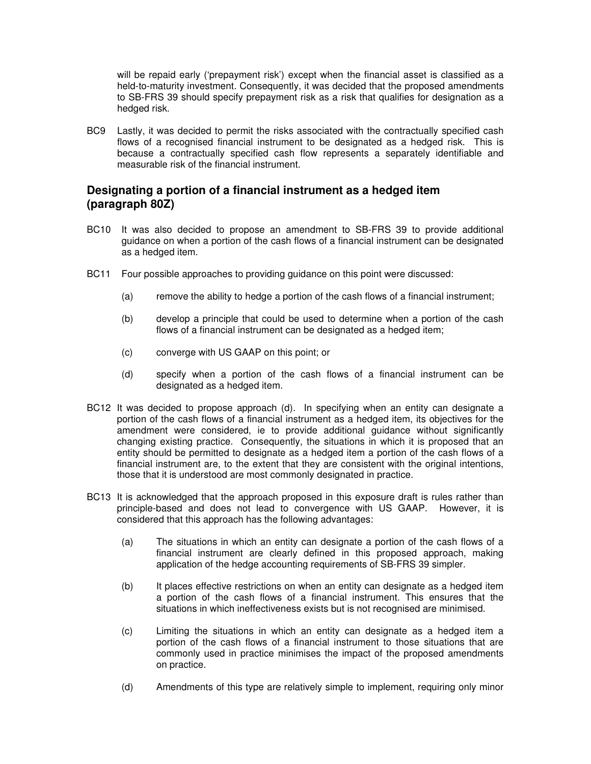will be repaid early ('prepayment risk') except when the financial asset is classified as a held-to-maturity investment. Consequently, it was decided that the proposed amendments to SB-FRS 39 should specify prepayment risk as a risk that qualifies for designation as a hedged risk.

BC9 Lastly, it was decided to permit the risks associated with the contractually specified cash flows of a recognised financial instrument to be designated as a hedged risk. This is because a contractually specified cash flow represents a separately identifiable and measurable risk of the financial instrument.

## **Designating a portion of a financial instrument as a hedged item (paragraph 80Z)**

- BC10 It was also decided to propose an amendment to SB-FRS 39 to provide additional guidance on when a portion of the cash flows of a financial instrument can be designated as a hedged item.
- BC11 Four possible approaches to providing guidance on this point were discussed:
	- (a) remove the ability to hedge a portion of the cash flows of a financial instrument;
	- (b) develop a principle that could be used to determine when a portion of the cash flows of a financial instrument can be designated as a hedged item;
	- (c) converge with US GAAP on this point; or
	- (d) specify when a portion of the cash flows of a financial instrument can be designated as a hedged item.
- BC12 It was decided to propose approach (d). In specifying when an entity can designate a portion of the cash flows of a financial instrument as a hedged item, its objectives for the amendment were considered, ie to provide additional guidance without significantly changing existing practice. Consequently, the situations in which it is proposed that an entity should be permitted to designate as a hedged item a portion of the cash flows of a financial instrument are, to the extent that they are consistent with the original intentions, those that it is understood are most commonly designated in practice.
- BC13 It is acknowledged that the approach proposed in this exposure draft is rules rather than principle-based and does not lead to convergence with US GAAP. However, it is considered that this approach has the following advantages:
	- (a) The situations in which an entity can designate a portion of the cash flows of a financial instrument are clearly defined in this proposed approach, making application of the hedge accounting requirements of SB-FRS 39 simpler.
	- (b) It places effective restrictions on when an entity can designate as a hedged item a portion of the cash flows of a financial instrument. This ensures that the situations in which ineffectiveness exists but is not recognised are minimised.
	- (c) Limiting the situations in which an entity can designate as a hedged item a portion of the cash flows of a financial instrument to those situations that are commonly used in practice minimises the impact of the proposed amendments on practice.
	- (d) Amendments of this type are relatively simple to implement, requiring only minor